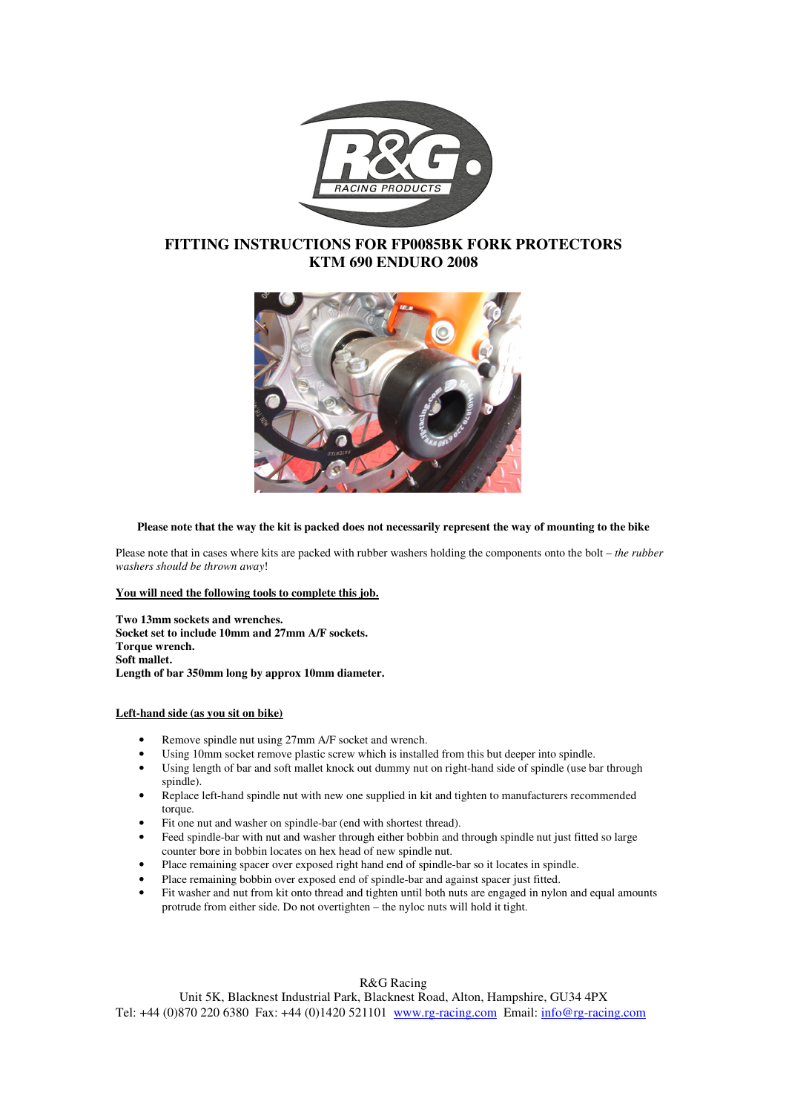

# **FITTING INSTRUCTIONS FOR FP0085BK FORK PROTECTORS KTM 690 ENDURO 2008**



## **Please note that the way the kit is packed does not necessarily represent the way of mounting to the bike**

Please note that in cases where kits are packed with rubber washers holding the components onto the bolt – *the rubber washers should be thrown away*!

### **You will need the following tools to complete this job.**

**Two 13mm sockets and wrenches. Socket set to include 10mm and 27mm A/F sockets. Torque wrench. Soft mallet. Length of bar 350mm long by approx 10mm diameter.** 

#### **Left-hand side (as you sit on bike)**

- Remove spindle nut using 27mm A/F socket and wrench.
- Using 10mm socket remove plastic screw which is installed from this but deeper into spindle.
- Using length of bar and soft mallet knock out dummy nut on right-hand side of spindle (use bar through spindle).
- Replace left-hand spindle nut with new one supplied in kit and tighten to manufacturers recommended torque.
- Fit one nut and washer on spindle-bar (end with shortest thread).
- Feed spindle-bar with nut and washer through either bobbin and through spindle nut just fitted so large counter bore in bobbin locates on hex head of new spindle nut.
- Place remaining spacer over exposed right hand end of spindle-bar so it locates in spindle.
- Place remaining bobbin over exposed end of spindle-bar and against spacer just fitted.
- Fit washer and nut from kit onto thread and tighten until both nuts are engaged in nylon and equal amounts protrude from either side. Do not overtighten – the nyloc nuts will hold it tight.

# R&G Racing

Unit 5K, Blacknest Industrial Park, Blacknest Road, Alton, Hampshire, GU34 4PX Tel: +44 (0)870 220 6380 Fax: +44 (0)1420 521101 www.rg-racing.com Email: info@rg-racing.com